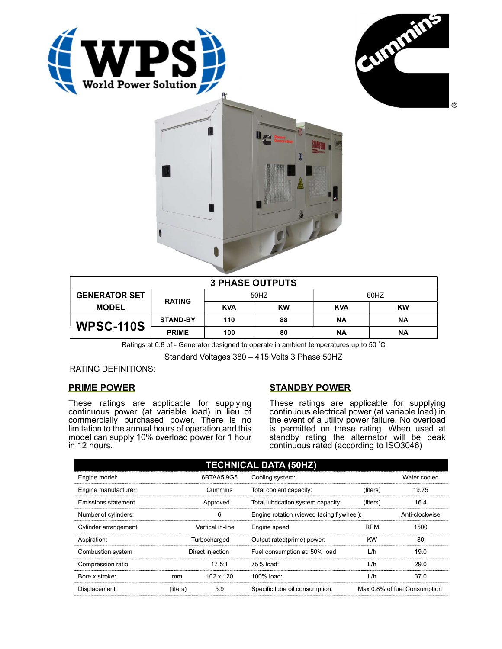





| <b>3 PHASE OUTPUTS</b> |                 |            |           |            |           |  |
|------------------------|-----------------|------------|-----------|------------|-----------|--|
| <b>GENERATOR SET</b>   | <b>RATING</b>   | 50HZ       |           | 60HZ       |           |  |
| <b>MODEL</b>           |                 | <b>KVA</b> | <b>KW</b> | <b>KVA</b> | <b>KW</b> |  |
| <b>WPSC-110S</b>       | <b>STAND-BY</b> | 110        | 88        | <b>NA</b>  | ΝA        |  |
|                        | <b>PRIME</b>    | 100        | 80        | <b>NA</b>  | ΝA        |  |

Ratings at 0.8 pf - Generator designed to operate in ambient temperatures up to 50 °C

Standard Voltages 380 – 415 Volts 3 Phase 50HZ

RATING DEFINITIONS:

# PRIME POWER

These ratings are applicable for supplying continuous power (at variable load) in lieu of commercially purchased power. There is no limitation to the annual hours of operation and this model can supply 10% overload power for 1 hour in 12 hours.

# STANDBY POWER

These ratings are applicable for supplying continuous electrical power (at variable load) in the event of a utility power failure. No overload is permitted on these rating. When used at standby rating the alternator will be peak continuous rated (according to ISO3046)

| <b>TECHNICAL DATA (50HZ)</b> |                  |                  |                                           |            |                              |  |
|------------------------------|------------------|------------------|-------------------------------------------|------------|------------------------------|--|
| Engine model:                |                  | 6BTAA5.9G5       | Cooling system:                           |            | Water cooled                 |  |
| Engine manufacturer:         | Cummins          |                  | Total coolant capacity:                   | (liters)   | 19.75                        |  |
| Emissions statement          | Approved         |                  | Total lubrication system capacity:        | (liters)   | 16.4                         |  |
| Number of cylinders:         |                  | 6                | Engine rotation (viewed facing flywheel): |            | Anti-clockwise               |  |
| Cylinder arrangement         |                  | Vertical in-line | Engine speed:                             | <b>RPM</b> | 1500                         |  |
| Aspiration:                  | Turbocharged     |                  | Output rated(prime) power:                | <b>KW</b>  | 80                           |  |
| Combustion system            | Direct injection |                  | Fuel consumption at: 50% load             | L/h        | 19.0                         |  |
| Compression ratio            |                  | 17.5:1           | 75% load:                                 | L/h        | 29.0                         |  |
| Bore x stroke:               | mm.              | 102 x 120        | 100% load:                                | L/h        | 37.0                         |  |
| Displacement:                | (liters)         | 5.9              | Specific lube oil consumption:            |            | Max 0.8% of fuel Consumption |  |